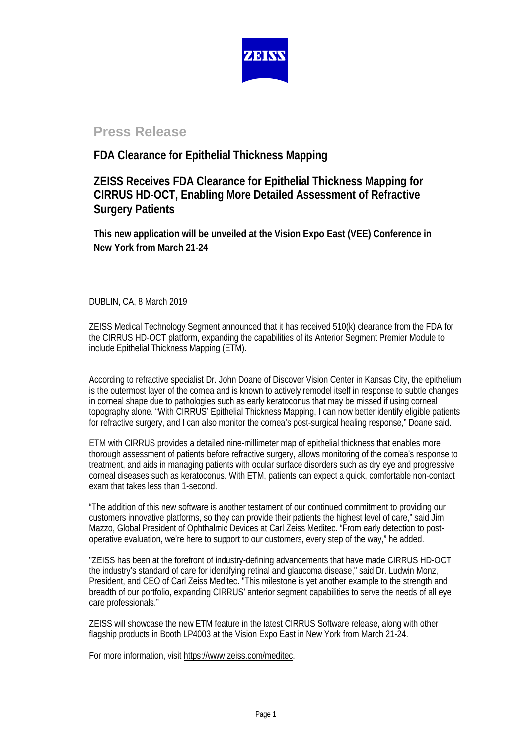

# **Press Release**

## **FDA Clearance for Epithelial Thickness Mapping**

## **ZEISS Receives FDA Clearance for Epithelial Thickness Mapping for CIRRUS HD-OCT, Enabling More Detailed Assessment of Refractive Surgery Patients**

**This new application will be unveiled at the Vision Expo East (VEE) Conference in New York from March 21-24**

DUBLIN, CA, 8 March 2019

ZEISS Medical Technology Segment announced that it has received 510(k) clearance from the FDA for the CIRRUS HD-OCT platform, expanding the capabilities of its Anterior Segment Premier Module to include Epithelial Thickness Mapping (ETM).

According to refractive specialist Dr. John Doane of Discover Vision Center in Kansas City, the epithelium is the outermost layer of the cornea and is known to actively remodel itself in response to subtle changes in corneal shape due to pathologies such as early keratoconus that may be missed if using corneal topography alone. "With CIRRUS' Epithelial Thickness Mapping, I can now better identify eligible patients for refractive surgery, and I can also monitor the cornea's post-surgical healing response," Doane said.

ETM with CIRRUS provides a detailed nine-millimeter map of epithelial thickness that enables more thorough assessment of patients before refractive surgery, allows monitoring of the cornea's response to treatment, and aids in managing patients with ocular surface disorders such as dry eye and progressive corneal diseases such as keratoconus. With ETM, patients can expect a quick, comfortable non-contact exam that takes less than 1-second.

"The addition of this new software is another testament of our continued commitment to providing our customers innovative platforms, so they can provide their patients the highest level of care," said Jim Mazzo, Global President of Ophthalmic Devices at Carl Zeiss Meditec. "From early detection to postoperative evaluation, we're here to support to our customers, every step of the way," he added.

"ZEISS has been at the forefront of industry-defining advancements that have made CIRRUS HD-OCT the industry's standard of care for identifying retinal and glaucoma disease," said Dr. Ludwin Monz, President, and CEO of Carl Zeiss Meditec. "This milestone is yet another example to the strength and breadth of our portfolio, expanding CIRRUS' anterior segment capabilities to serve the needs of all eye care professionals."

ZEISS will showcase the new ETM feature in the latest CIRRUS Software release, along with other flagship products in Booth LP4003 at the Vision Expo East in New York from March 21-24.

For more information, visi[t https://www.zeiss.com/meditec.](https://www.zeiss.com/meditec/us/products/ophthalmology-optometry/glaucoma/diagnostics/optical-coherence-tomography/oct-optical-coherence-tomography/cirrus-hd-oct.html)